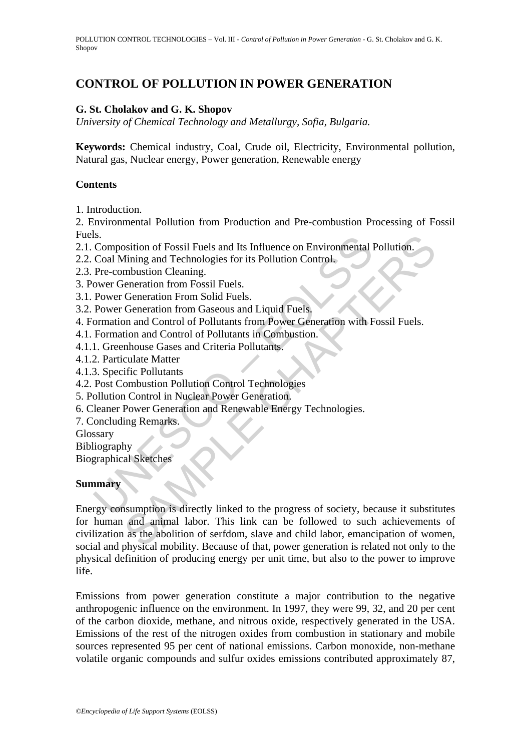# **CONTROL OF POLLUTION IN POWER GENERATION**

## **G. St. Cholakov and G. K. Shopov**

*University of Chemical Technology and Metallurgy, Sofia, Bulgaria.*

**Keywords:** Chemical industry, Coal, Crude oil, Electricity, Environmental pollution, Natural gas, Nuclear energy, Power generation, Renewable energy

### **Contents**

1. Introduction.

2. Environmental Pollution from Production and Pre-combustion Processing of Fossil Fuels.

2.1. Composition of Fossil Fuels and Its Influence on Environmental Pollution.

- 2.2. Coal Mining and Technologies for its Pollution Control.
- 2.3. Pre-combustion Cleaning.
- 3. Power Generation from Fossil Fuels.

3.1. Power Generation From Solid Fuels.

3.2. Power Generation from Gaseous and Liquid Fuels.

4. Formation and Control of Pollutants from Power Generation with Fossil Fuels.

4.1. Formation and Control of Pollutants in Combustion.

4.1.1. Greenhouse Gases and Criteria Pollutants.

4.1.2. Particulate Matter

4.1.3. Specific Pollutants

4.2. Post Combustion Pollution Control Technologies

- 5. Pollution Control in Nuclear Power Generation.
- 6. Cleaner Power Generation and Renewable Energy Technologies.
- 7. Concluding Remarks.

Glossary

Bibliography

Biographical Sketches

### **Summary**

Is.<br>Composition of Fossil Fuels and Its Influence on Environmental I<br>Coal Mining and Technologies for its Pollution Control.<br>Pre-combustion Cleaning.<br>Wever Generation from Fossil Fuels.<br>Power Generation from Gaseous and Li osition of Fossil Fuels and Its Influence on Environmental Pollution.<br>
Thining and Technologies for its Pollution Control.<br>
Imbustion Cleaning.<br>
Ceneration from Sosil Fuels.<br>
Generation from Solid Fuels.<br>
Generation from S Energy consumption is directly linked to the progress of society, because it substitutes for human and animal labor. This link can be followed to such achievements of civilization as the abolition of serfdom, slave and child labor, emancipation of women, social and physical mobility. Because of that, power generation is related not only to the physical definition of producing energy per unit time, but also to the power to improve life.

Emissions from power generation constitute a major contribution to the negative anthropogenic influence on the environment. In 1997, they were 99, 32, and 20 per cent of the carbon dioxide, methane, and nitrous oxide, respectively generated in the USA. Emissions of the rest of the nitrogen oxides from combustion in stationary and mobile sources represented 95 per cent of national emissions. Carbon monoxide, non-methane volatile organic compounds and sulfur oxides emissions contributed approximately 87,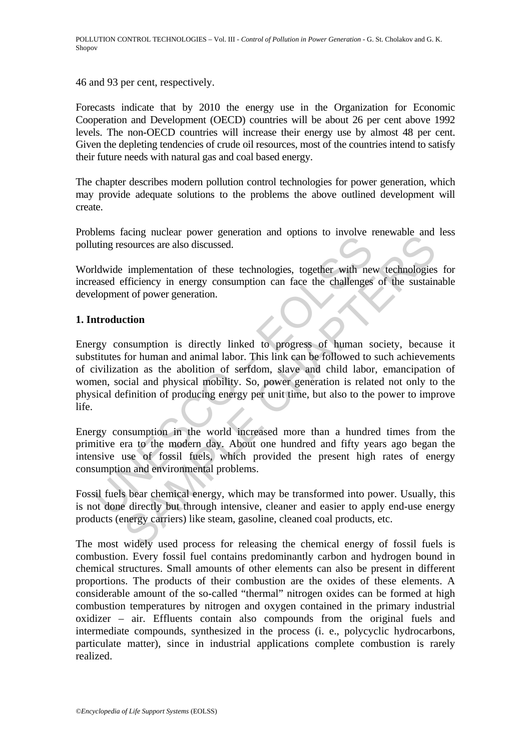46 and 93 per cent, respectively.

Forecasts indicate that by 2010 the energy use in the Organization for Economic Cooperation and Development (OECD) countries will be about 26 per cent above 1992 levels. The non-OECD countries will increase their energy use by almost 48 per cent. Given the depleting tendencies of crude oil resources, most of the countries intend to satisfy their future needs with natural gas and coal based energy.

The chapter describes modern pollution control technologies for power generation, which may provide adequate solutions to the problems the above outlined development will create.

Problems facing nuclear power generation and options to involve renewable and less polluting resources are also discussed.

Worldwide implementation of these technologies, together with new technologies for increased efficiency in energy consumption can face the challenges of the sustainable development of power generation.

## **1. Introduction**

The means also discussed.<br>
Idwide implementation of these technologies, together with neased efficiency in energy consumption can face the challenges<br>
elopment of power generation.<br> **Arroduction**<br> **Arroduction**<br> **Arroducti** ally include power generation and options to involve thewavite and<br>sources are also discussed.<br>implementation of these technologies, together with new technologies<br>fifficiency in energy consumption can face the challenges Energy consumption is directly linked to progress of human society, because it substitutes for human and animal labor. This link can be followed to such achievements of civilization as the abolition of serfdom, slave and child labor, emancipation of women, social and physical mobility. So, power generation is related not only to the physical definition of producing energy per unit time, but also to the power to improve life.

Energy consumption in the world increased more than a hundred times from the primitive era to the modern day. About one hundred and fifty years ago began the intensive use of fossil fuels, which provided the present high rates of energy consumption and environmental problems.

Fossil fuels bear chemical energy, which may be transformed into power. Usually, this is not done directly but through intensive, cleaner and easier to apply end-use energy products (energy carriers) like steam, gasoline, cleaned coal products, etc.

The most widely used process for releasing the chemical energy of fossil fuels is combustion. Every fossil fuel contains predominantly carbon and hydrogen bound in chemical structures. Small amounts of other elements can also be present in different proportions. The products of their combustion are the oxides of these elements. A considerable amount of the so-called "thermal" nitrogen oxides can be formed at high combustion temperatures by nitrogen and oxygen contained in the primary industrial oxidizer – air. Effluents contain also compounds from the original fuels and intermediate compounds, synthesized in the process (i. e., polycyclic hydrocarbons, particulate matter), since in industrial applications complete combustion is rarely realized.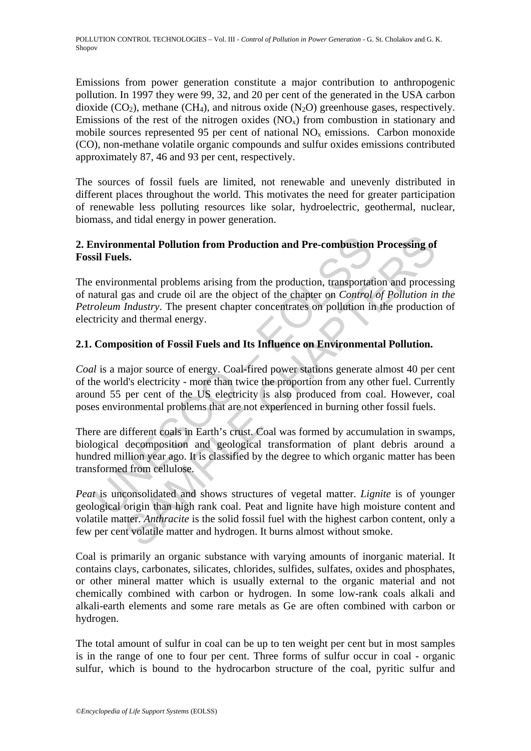Emissions from power generation constitute a major contribution to anthropogenic pollution. In 1997 they were 99, 32, and 20 per cent of the generated in the USA carbon dioxide  $(CO_2)$ , methane  $(CH_4)$ , and nitrous oxide  $(N_2O)$  greenhouse gases, respectively. Emissions of the rest of the nitrogen oxides  $(NO<sub>x</sub>)$  from combustion in stationary and mobile sources represented 95 per cent of national  $NO<sub>x</sub>$  emissions. Carbon monoxide (CO), non-methane volatile organic compounds and sulfur oxides emissions contributed approximately 87, 46 and 93 per cent, respectively.

The sources of fossil fuels are limited, not renewable and unevenly distributed in different places throughout the world. This motivates the need for greater participation of renewable less polluting resources like solar, hydroelectric, geothermal, nuclear, biomass, and tidal energy in power generation.

## **2. Environmental Pollution from Production and Pre-combustion Processing of Fossil Fuels.**

The environmental problems arising from the production, transportation and processing of natural gas and crude oil are the object of the chapter on *Control of Pollution in the Petroleum Industry*. The present chapter concentrates on pollution in the production of electricity and thermal energy.

## **2.1. Composition of Fossil Fuels and Its Influence on Environmental Pollution.**

Invironmental Pollution from Production and Pre-combustion<br>sil Fuels.<br>environmental problems arising from the production, transportat<br>atural gas and crude oil are the object of the chapter on *Control*<br>oleum Industry. The **INTERNATE Pollution from Production and Pre-combustion Processing of s.**<br> **S.**<br> **EXECUTE CONSTANT INTERT CONSTANT CONSTANT CONSTANT CONSTANT CONSTANT CONSTANT CONSTANT CONSTANT CONSTANT CONSTANT CONSTANT CONSTANT CONSTANT** *Coal* is a major source of energy. Coal-fired power stations generate almost 40 per cent of the world's electricity - more than twice the proportion from any other fuel. Currently around 55 per cent of the US electricity is also produced from coal. However, coal poses environmental problems that are not experienced in burning other fossil fuels.

There are different coals in Earth's crust. Coal was formed by accumulation in swamps, biological decomposition and geological transformation of plant debris around a hundred million year ago. It is classified by the degree to which organic matter has been transformed from cellulose.

*Peat* is unconsolidated and shows structures of vegetal matter. *Lignite* is of younger geological origin than high rank coal. Peat and lignite have high moisture content and volatile matter. *Anthracite* is the solid fossil fuel with the highest carbon content, only a few per cent volatile matter and hydrogen. It burns almost without smoke.

Coal is primarily an organic substance with varying amounts of inorganic material. It contains clays, carbonates, silicates, chlorides, sulfides, sulfates, oxides and phosphates, or other mineral matter which is usually external to the organic material and not chemically combined with carbon or hydrogen. In some low-rank coals alkali and alkali-earth elements and some rare metals as Ge are often combined with carbon or hydrogen.

The total amount of sulfur in coal can be up to ten weight per cent but in most samples is in the range of one to four per cent. Three forms of sulfur occur in coal - organic sulfur, which is bound to the hydrocarbon structure of the coal, pyritic sulfur and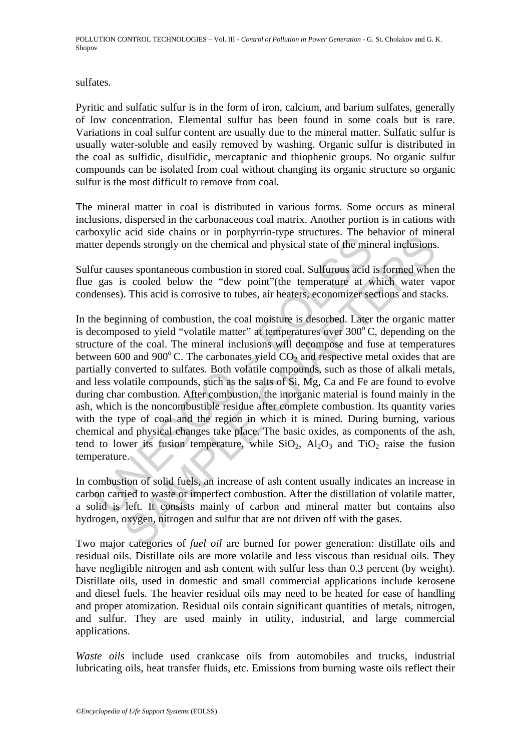sulfates.

Pyritic and sulfatic sulfur is in the form of iron, calcium, and barium sulfates, generally of low concentration. Elemental sulfur has been found in some coals but is rare. Variations in coal sulfur content are usually due to the mineral matter. Sulfatic sulfur is usually water-soluble and easily removed by washing. Organic sulfur is distributed in the coal as sulfidic, disulfidic, mercaptanic and thiophenic groups. No organic sulfur compounds can be isolated from coal without changing its organic structure so organic sulfur is the most difficult to remove from coal.

The mineral matter in coal is distributed in various forms. Some occurs as mineral inclusions, dispersed in the carbonaceous coal matrix. Another portion is in cations with carboxylic acid side chains or in porphyrrin-type structures. The behavior of mineral matter depends strongly on the chemical and physical state of the mineral inclusions.

Sulfur causes spontaneous combustion in stored coal. Sulfurous acid is formed when the flue gas is cooled below the "dew point"(the temperature at which water vapor condenses). This acid is corrosive to tubes, air heaters, economizer sections and stacks.

Example and strongly on the chemical and physical state of the minitrie depends strongly on the chemical and physical state of the minitric causes spontaneous combustion in stored coal. Sulfurous acid igas is cooled below are state trains of in poppyrim-type stateates. The contator of mini-<br>and strongly on the chemical and physical state of the mineral inclusions<br>ses spontaneous combustion in stored coal. Sulfurous acid is formed where<br>v. In the beginning of combustion, the coal moisture is desorbed. Later the organic matter is decomposed to yield "volatile matter" at temperatures over  $300^{\circ}$ C, depending on the structure of the coal. The mineral inclusions will decompose and fuse at temperatures between 600 and 900 $^{\circ}$ C. The carbonates yield  $CO<sub>2</sub>$  and respective metal oxides that are partially converted to sulfates. Both volatile compounds, such as those of alkali metals, and less volatile compounds, such as the salts of Si, Mg, Ca and Fe are found to evolve during char combustion. After combustion, the inorganic material is found mainly in the ash, which is the noncombustible residue after complete combustion. Its quantity varies with the type of coal and the region in which it is mined. During burning, various chemical and physical changes take place. The basic oxides, as components of the ash, tend to lower its fusion temperature, while  $SiO_2$ ,  $Al_2O_3$  and  $TiO_2$  raise the fusion temperature.

In combustion of solid fuels, an increase of ash content usually indicates an increase in carbon carried to waste or imperfect combustion. After the distillation of volatile matter, a solid is left. It consists mainly of carbon and mineral matter but contains also hydrogen, oxygen, nitrogen and sulfur that are not driven off with the gases.

Two major categories of *fuel oil* are burned for power generation: distillate oils and residual oils. Distillate oils are more volatile and less viscous than residual oils. They have negligible nitrogen and ash content with sulfur less than 0.3 percent (by weight). Distillate oils, used in domestic and small commercial applications include kerosene and diesel fuels. The heavier residual oils may need to be heated for ease of handling and proper atomization. Residual oils contain significant quantities of metals, nitrogen, and sulfur. They are used mainly in utility, industrial, and large commercial applications.

*Waste oils* include used crankcase oils from automobiles and trucks, industrial lubricating oils, heat transfer fluids, etc. Emissions from burning waste oils reflect their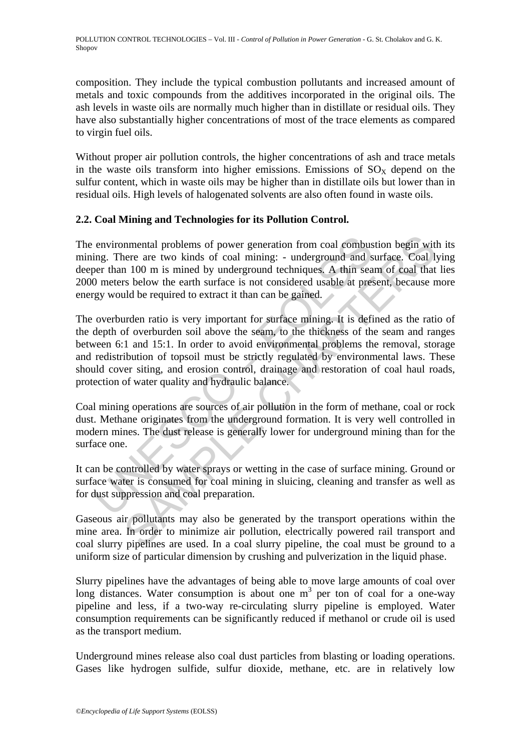composition. They include the typical combustion pollutants and increased amount of metals and toxic compounds from the additives incorporated in the original oils. The ash levels in waste oils are normally much higher than in distillate or residual oils. They have also substantially higher concentrations of most of the trace elements as compared to virgin fuel oils.

Without proper air pollution controls, the higher concentrations of ash and trace metals in the waste oils transform into higher emissions. Emissions of  $SO<sub>X</sub>$  depend on the sulfur content, which in waste oils may be higher than in distillate oils but lower than in residual oils. High levels of halogenated solvents are also often found in waste oils.

## **2.2. Coal Mining and Technologies for its Pollution Control.**

The environmental problems of power generation from coal combustion begin with its mining. There are two kinds of coal mining: - underground and surface. Coal lying deeper than 100 m is mined by underground techniques. A thin seam of coal that lies 2000 meters below the earth surface is not considered usable at present, because more energy would be required to extract it than can be gained.

environmental problems of power generation from coal combus<br>ing. There are two kinds of coal mining: - underground and s<br>per than 100 m is mined by underground techniques. A thin sea<br>0 meters below the earth surface is not mental problems of power generation from coal combustion begin with<br>the are are two kinds of coal mining: - underground and surface. Coal l;<br>n 100 m is mined by underground techniques. A thin seam of coal that<br>the stepse b The overburden ratio is very important for surface mining. It is defined as the ratio of the depth of overburden soil above the seam, to the thickness of the seam and ranges between 6:1 and 15:1. In order to avoid environmental problems the removal, storage and redistribution of topsoil must be strictly regulated by environmental laws. These should cover siting, and erosion control, drainage and restoration of coal haul roads, protection of water quality and hydraulic balance.

Coal mining operations are sources of air pollution in the form of methane, coal or rock dust. Methane originates from the underground formation. It is very well controlled in modern mines. The dust release is generally lower for underground mining than for the surface one.

It can be controlled by water sprays or wetting in the case of surface mining. Ground or surface water is consumed for coal mining in sluicing, cleaning and transfer as well as for dust suppression and coal preparation.

Gaseous air pollutants may also be generated by the transport operations within the mine area. In order to minimize air pollution, electrically powered rail transport and coal slurry pipelines are used. In a coal slurry pipeline, the coal must be ground to a uniform size of particular dimension by crushing and pulverization in the liquid phase.

Slurry pipelines have the advantages of being able to move large amounts of coal over long distances. Water consumption is about one  $m<sup>3</sup>$  per ton of coal for a one-way pipeline and less, if a two-way re-circulating slurry pipeline is employed. Water consumption requirements can be significantly reduced if methanol or crude oil is used as the transport medium.

Underground mines release also coal dust particles from blasting or loading operations. Gases like hydrogen sulfide, sulfur dioxide, methane, etc. are in relatively low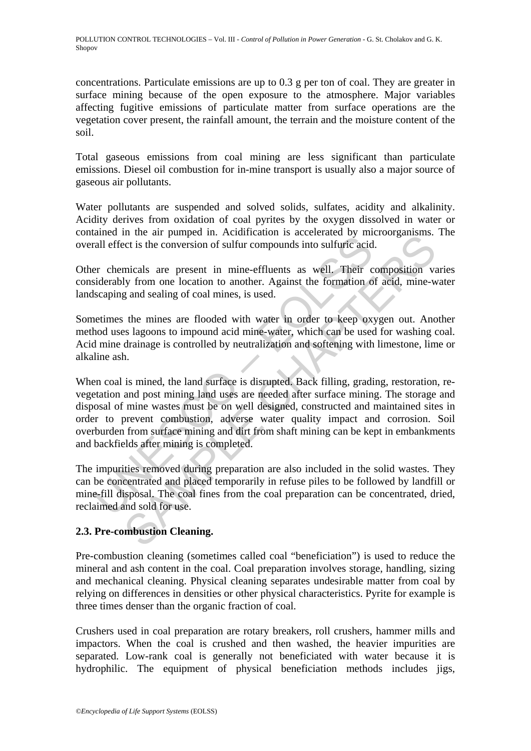POLLUTION CONTROL TECHNOLOGIES – Vol. III - *Control of Pollution in Power Generation* - G. St. Cholakov and G. K. Shopov

concentrations. Particulate emissions are up to 0.3 g per ton of coal. They are greater in surface mining because of the open exposure to the atmosphere. Major variables affecting fugitive emissions of particulate matter from surface operations are the vegetation cover present, the rainfall amount, the terrain and the moisture content of the soil.

Total gaseous emissions from coal mining are less significant than particulate emissions. Diesel oil combustion for in-mine transport is usually also a major source of gaseous air pollutants.

Water pollutants are suspended and solved solids, sulfates, acidity and alkalinity. Acidity derives from oxidation of coal pyrites by the oxygen dissolved in water or contained in the air pumped in. Acidification is accelerated by microorganisms. The overall effect is the conversion of sulfur compounds into sulfuric acid.

Other chemicals are present in mine-effluents as well. Their composition varies considerably from one location to another. Against the formation of acid, mine-water landscaping and sealing of coal mines, is used.

Sometimes the mines are flooded with water in order to keep oxygen out. Another method uses lagoons to impound acid mine-water, which can be used for washing coal. Acid mine drainage is controlled by neutralization and softening with limestone, lime or alkaline ash.

anned in the universal in the convertised of minimal effect is the conversion of sulfur compounds into sulfuric acid<br>er chemicals are present in mine-effluents as well. Their c<br>siderably from one location to another. Again In the air pumpear in. Actual reading that cell atteriated by incrosourably the end pumpear of the conversion of sulfur compounds into sulfuric acid.<br>
Their composition values are present in mine-effluents as well. Their c When coal is mined, the land surface is disrupted. Back filling, grading, restoration, revegetation and post mining land uses are needed after surface mining. The storage and disposal of mine wastes must be on well designed, constructed and maintained sites in order to prevent combustion, adverse water quality impact and corrosion. Soil overburden from surface mining and dirt from shaft mining can be kept in embankments and backfields after mining is completed.

The impurities removed during preparation are also included in the solid wastes. They can be concentrated and placed temporarily in refuse piles to be followed by landfill or mine-fill disposal. The coal fines from the coal preparation can be concentrated, dried, reclaimed and sold for use.

## **2.3. Pre-combustion Cleaning.**

Pre-combustion cleaning (sometimes called coal "beneficiation") is used to reduce the mineral and ash content in the coal. Coal preparation involves storage, handling, sizing and mechanical cleaning. Physical cleaning separates undesirable matter from coal by relying on differences in densities or other physical characteristics. Pyrite for example is three times denser than the organic fraction of coal.

Crushers used in coal preparation are rotary breakers, roll crushers, hammer mills and impactors. When the coal is crushed and then washed, the heavier impurities are separated. Low-rank coal is generally not beneficiated with water because it is hydrophilic. The equipment of physical beneficiation methods includes jigs,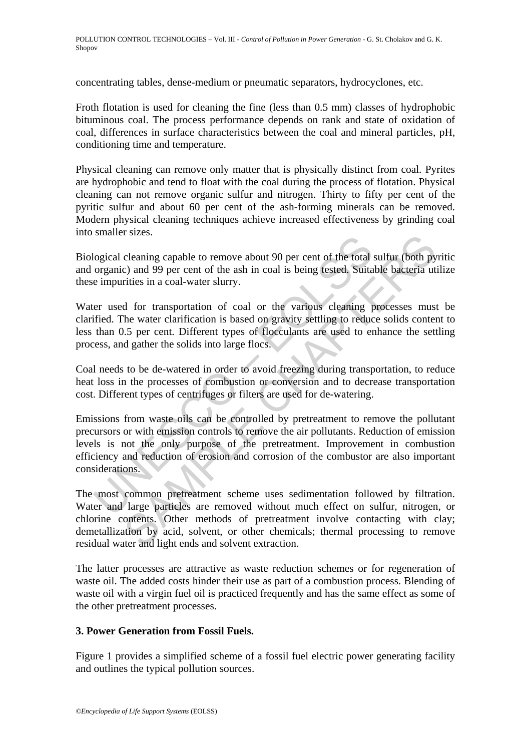concentrating tables, dense-medium or pneumatic separators, hydrocyclones, etc.

Froth flotation is used for cleaning the fine (less than 0.5 mm) classes of hydrophobic bituminous coal. The process performance depends on rank and state of oxidation of coal, differences in surface characteristics between the coal and mineral particles, pH, conditioning time and temperature.

Physical cleaning can remove only matter that is physically distinct from coal. Pyrites are hydrophobic and tend to float with the coal during the process of flotation. Physical cleaning can not remove organic sulfur and nitrogen. Thirty to fifty per cent of the pyritic sulfur and about 60 per cent of the ash-forming minerals can be removed. Modern physical cleaning techniques achieve increased effectiveness by grinding coal into smaller sizes.

Biological cleaning capable to remove about 90 per cent of the total sulfur (both pyritic and organic) and 99 per cent of the ash in coal is being tested. Suitable bacteria utilize these impurities in a coal-water slurry.

Water used for transportation of coal or the various cleaning processes must be clarified. The water clarification is based on gravity settling to reduce solids content to less than 0.5 per cent. Different types of flocculants are used to enhance the settling process, and gather the solids into large flocs.

Coal needs to be de-watered in order to avoid freezing during transportation, to reduce heat loss in the processes of combustion or conversion and to decrease transportation cost. Different types of centrifuges or filters are used for de-watering.

logical cleaning capable to remove about 90 per cent of the total organic) and 99 per cent of the ash in coal is being tested. Suita e impurities in a coal-water slurry.<br>
er used for transportation of coal or the various c SECUTE CHAPTER and since the total sulfur (both py<br>cleaning capable to remove about 90 per cent of the total sulfur (both py<br>c) and 99 per cent of the ash in coal is being tested. Suitable bacteria ut<br>rities in a coal-wate Emissions from waste oils can be controlled by pretreatment to remove the pollutant precursors or with emission controls to remove the air pollutants. Reduction of emission levels is not the only purpose of the pretreatment. Improvement in combustion efficiency and reduction of erosion and corrosion of the combustor are also important considerations.

The most common pretreatment scheme uses sedimentation followed by filtration. Water and large particles are removed without much effect on sulfur, nitrogen, or chlorine contents. Other methods of pretreatment involve contacting with clay; demetallization by acid, solvent, or other chemicals; thermal processing to remove residual water and light ends and solvent extraction.

The latter processes are attractive as waste reduction schemes or for regeneration of waste oil. The added costs hinder their use as part of a combustion process. Blending of waste oil with a virgin fuel oil is practiced frequently and has the same effect as some of the other pretreatment processes.

### **3. Power Generation from Fossil Fuels.**

Figure 1 provides a simplified scheme of a fossil fuel electric power generating facility and outlines the typical pollution sources.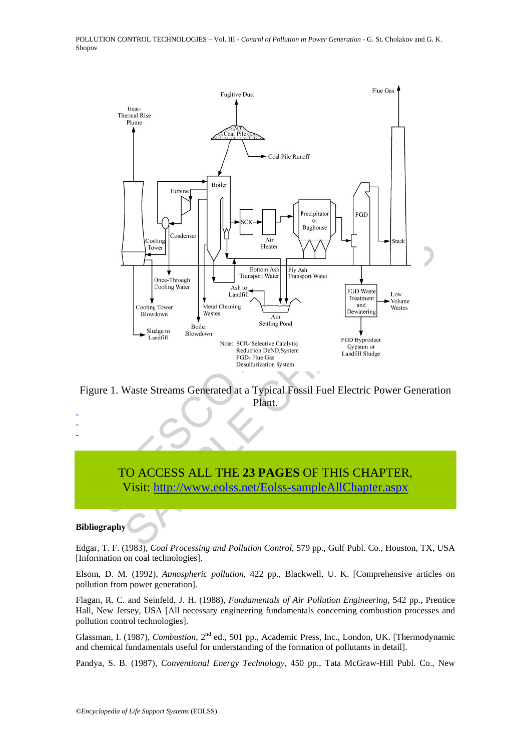

Figure 1. Waste Streams Generated at a Typical Fossil Fuel Electric Power Generation Plant.

# TO ACCESS ALL THE **23 PAGES** OF THIS CHAPTER, Visit: http://www.eolss.net/Eolss-sampleAllChapter.aspx

#### **Bibliography**

- - -

Edgar, T. F. (1983), *Coal Processing and Pollution Control*, 579 pp., Gulf Publ. Co., Houston, TX, USA [Information on coal technologies].

Elsom, D. M. (1992), *Atmospheric pollution*, 422 pp., Blackwell, U. K. [Comprehensive articles on pollution from power generation].

Flagan, R. C. and Seinfeld, J. H. (1988), *Fundamentals of Air Pollution Engineering*, 542 pp., Prentice Hall, New Jersey, USA [All necessary engineering fundamentals concerning combustion processes and pollution control technologies].

Glassman, I. (1987), *Combustion*, 2<sup>nd</sup> ed., 501 pp., Academic Press, Inc., London, UK. [Thermodynamic and chemical fundamentals useful for understanding of the formation of pollutants in detail].

Pandya, S. B. (1987), *Conventional Energy Technology*, 450 pp., Tata McGraw-Hill Publ. Co., New